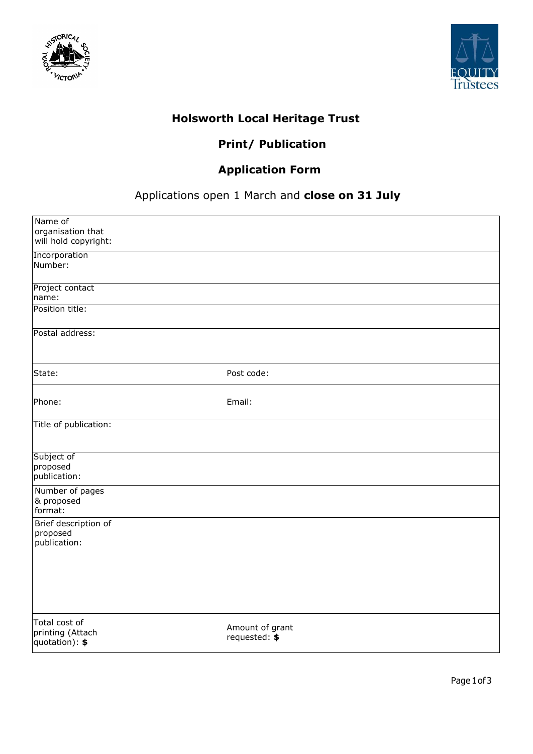



## **Holsworth Local Heritage Trust**

## **Print/ Publication**

## **Application Form**

## Applications open 1 March and **close on 31 July**

| Name of<br>organisation that<br>will hold copyright: |                                  |
|------------------------------------------------------|----------------------------------|
| Incorporation<br>Number:                             |                                  |
| Project contact<br>name:                             |                                  |
| Position title:                                      |                                  |
| Postal address:                                      |                                  |
| State:                                               | Post code:                       |
| Phone:                                               | Email:                           |
| Title of publication:                                |                                  |
| Subject of<br>proposed<br>publication:               |                                  |
| Number of pages<br>& proposed<br>format:             |                                  |
| Brief description of<br>proposed<br>publication:     |                                  |
|                                                      |                                  |
| Total cost of<br>printing (Attach<br>quotation): \$  | Amount of grant<br>requested: \$ |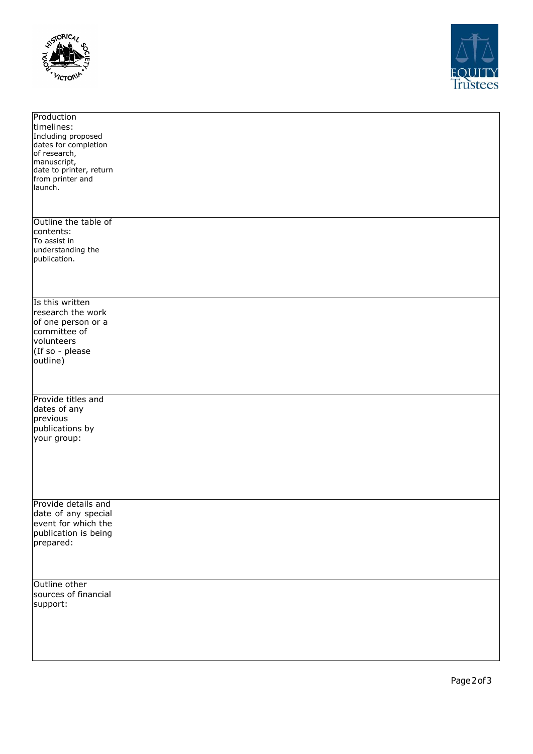



| Production              |
|-------------------------|
| timelines:              |
|                         |
| Including proposed      |
| dates for completion    |
| of research,            |
| manuscript,             |
|                         |
| date to printer, return |
| from printer and        |
| launch.                 |
|                         |
|                         |
|                         |
| Outline the table of    |
|                         |
| contents:               |
| To assist in            |
| understanding the       |
| publication.            |
|                         |
|                         |
|                         |
|                         |
| Is this written         |
|                         |
| research the work       |
| of one person or a      |
| committee of            |
|                         |
| volunteers              |
| (If so - please         |
| outline)                |
|                         |
|                         |
|                         |
|                         |
| Provide titles and      |
|                         |
| dates of any            |
| previous                |
| publications by         |
|                         |
| your group:             |
|                         |
|                         |
|                         |
|                         |
|                         |
|                         |
|                         |
| Provide details and     |
| date of any special     |
|                         |
| event for which the     |
| publication is being    |
| prepared:               |
|                         |
|                         |
|                         |
|                         |
| Outline other           |
|                         |
| sources of financial    |
| support:                |
|                         |
|                         |
|                         |
|                         |
|                         |
|                         |
|                         |
|                         |